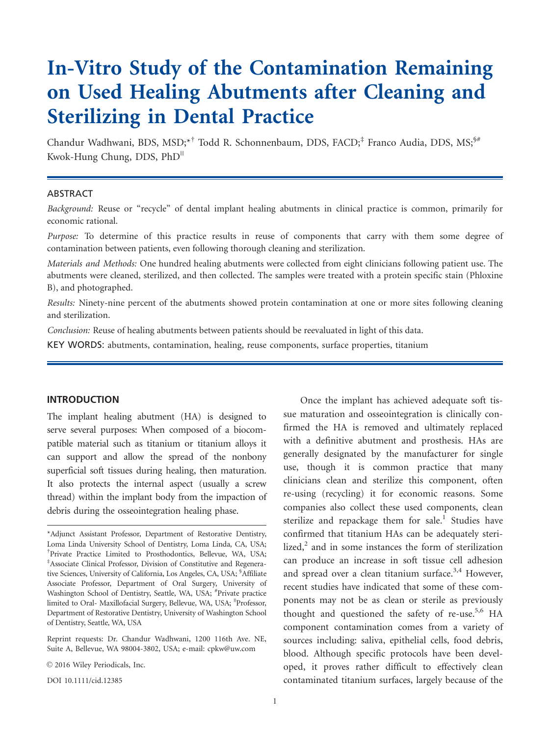# In-Vitro Study of the Contamination Remaining on Used Healing Abutments after Cleaning and Sterilizing in Dental Practice

Chandur Wadhwani, BDS, MSD;<sup>\*†</sup> Todd R. Schonnenbaum, DDS, FACD;<sup>‡</sup> Franco Audia, DDS, MS;<sup>\$#</sup> Kwok-Hung Chung, DDS,  $PhD<sup>||</sup>$ 

#### ABSTRACT

Background: Reuse or "recycle" of dental implant healing abutments in clinical practice is common, primarily for economic rational.

Purpose: To determine of this practice results in reuse of components that carry with them some degree of contamination between patients, even following thorough cleaning and sterilization.

Materials and Methods: One hundred healing abutments were collected from eight clinicians following patient use. The abutments were cleaned, sterilized, and then collected. The samples were treated with a protein specific stain (Phloxine B), and photographed.

Results: Ninety-nine percent of the abutments showed protein contamination at one or more sites following cleaning and sterilization.

Conclusion: Reuse of healing abutments between patients should be reevaluated in light of this data.

KEY WORDS: abutments, contamination, healing, reuse components, surface properties, titanium

#### INTRODUCTION

The implant healing abutment (HA) is designed to serve several purposes: When composed of a biocompatible material such as titanium or titanium alloys it can support and allow the spread of the nonbony superficial soft tissues during healing, then maturation. It also protects the internal aspect (usually a screw thread) within the implant body from the impaction of debris during the osseointegration healing phase.

Reprint requests: Dr. Chandur Wadhwani, 1200 116th Ave. NE, Suite A, Bellevue, WA 98004-3802, USA; e-mail: cpkw@uw.com

 $©$  2016 Wiley Periodicals, Inc.

DOI 10.1111/cid.12385

Once the implant has achieved adequate soft tissue maturation and osseointegration is clinically confirmed the HA is removed and ultimately replaced with a definitive abutment and prosthesis. HAs are generally designated by the manufacturer for single use, though it is common practice that many clinicians clean and sterilize this component, often re-using (recycling) it for economic reasons. Some companies also collect these used components, clean sterilize and repackage them for sale.<sup>1</sup> Studies have confirmed that titanium HAs can be adequately sterilized, $<sup>2</sup>$  and in some instances the form of sterilization</sup> can produce an increase in soft tissue cell adhesion and spread over a clean titanium surface.<sup>3,4</sup> However, recent studies have indicated that some of these components may not be as clean or sterile as previously thought and questioned the safety of re-use.<sup>5,6</sup> HA component contamination comes from a variety of sources including: saliva, epithelial cells, food debris, blood. Although specific protocols have been developed, it proves rather difficult to effectively clean contaminated titanium surfaces, largely because of the

<sup>\*</sup>Adjunct Assistant Professor, Department of Restorative Dentistry, Loma Linda University School of Dentistry, Loma Linda, CA, USA; † Private Practice Limited to Prosthodontics, Bellevue, WA, USA; ‡ Associate Clinical Professor, Division of Constitutive and Regenerative Sciences, University of California, Los Angeles, CA, USA; <sup>\$</sup>Affiliate Associate Professor, Department of Oral Surgery, University of Washington School of Dentistry, Seattle, WA, USA; <sup>#</sup>Private practice limited to Oral- Maxillofacial Surgery, Bellevue, WA, USA; <sup>"</sup>Professor, Department of Restorative Dentistry, University of Washington School of Dentistry, Seattle, WA, USA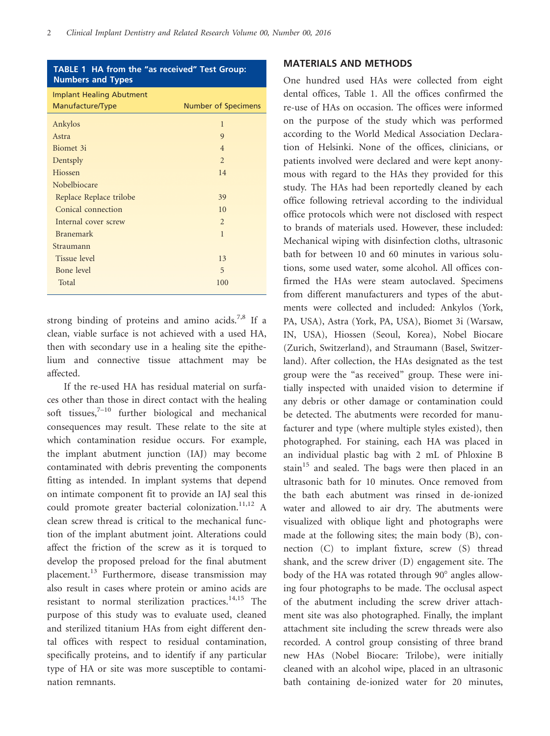| <b>TABLE 1 HA from the "as received" Test Group:</b><br><b>Numbers and Types</b> |                            |  |
|----------------------------------------------------------------------------------|----------------------------|--|
| <b>Implant Healing Abutment</b>                                                  |                            |  |
| Manufacture/Type                                                                 | <b>Number of Specimens</b> |  |
| Ankylos                                                                          | 1                          |  |
| Astra                                                                            | 9                          |  |
| Biomet 3i                                                                        | $\overline{4}$             |  |
| Dentsply                                                                         | $\mathfrak{D}$             |  |
| Hiossen                                                                          | 14                         |  |
| Nobelbiocare                                                                     |                            |  |
| Replace Replace trilobe                                                          | 39                         |  |
| Conical connection                                                               | 10                         |  |
| Internal cover screw                                                             | $\mathfrak{D}$             |  |
| <b>Branemark</b>                                                                 | $\mathbf{1}$               |  |
| Straumann                                                                        |                            |  |
| <b>Tissue</b> level                                                              | 13                         |  |
| Bone level                                                                       | 5                          |  |
| Total                                                                            | 100                        |  |

strong binding of proteins and amino acids.<sup>7,8</sup> If a clean, viable surface is not achieved with a used HA, then with secondary use in a healing site the epithelium and connective tissue attachment may be affected.

If the re-used HA has residual material on surfaces other than those in direct contact with the healing soft tissues, $7-10$  further biological and mechanical consequences may result. These relate to the site at which contamination residue occurs. For example, the implant abutment junction (IAJ) may become contaminated with debris preventing the components fitting as intended. In implant systems that depend on intimate component fit to provide an IAJ seal this could promote greater bacterial colonization.<sup>11,12</sup> A clean screw thread is critical to the mechanical function of the implant abutment joint. Alterations could affect the friction of the screw as it is torqued to develop the proposed preload for the final abutment placement.13 Furthermore, disease transmission may also result in cases where protein or amino acids are resistant to normal sterilization practices. $14,15$  The purpose of this study was to evaluate used, cleaned and sterilized titanium HAs from eight different dental offices with respect to residual contamination, specifically proteins, and to identify if any particular type of HA or site was more susceptible to contamination remnants.

#### MATERIALS AND METHODS

One hundred used HAs were collected from eight dental offices, Table 1. All the offices confirmed the re-use of HAs on occasion. The offices were informed on the purpose of the study which was performed according to the World Medical Association Declaration of Helsinki. None of the offices, clinicians, or patients involved were declared and were kept anonymous with regard to the HAs they provided for this study. The HAs had been reportedly cleaned by each office following retrieval according to the individual office protocols which were not disclosed with respect to brands of materials used. However, these included: Mechanical wiping with disinfection cloths, ultrasonic bath for between 10 and 60 minutes in various solutions, some used water, some alcohol. All offices confirmed the HAs were steam autoclaved. Specimens from different manufacturers and types of the abutments were collected and included: Ankylos (York, PA, USA), Astra (York, PA, USA), Biomet 3i (Warsaw, IN, USA), Hiossen (Seoul, Korea), Nobel Biocare (Zurich, Switzerland), and Straumann (Basel, Switzerland). After collection, the HAs designated as the test group were the "as received" group. These were initially inspected with unaided vision to determine if any debris or other damage or contamination could be detected. The abutments were recorded for manufacturer and type (where multiple styles existed), then photographed. For staining, each HA was placed in an individual plastic bag with 2 mL of Phloxine B stain $15$  and sealed. The bags were then placed in an ultrasonic bath for 10 minutes. Once removed from the bath each abutment was rinsed in de-ionized water and allowed to air dry. The abutments were visualized with oblique light and photographs were made at the following sites; the main body (B), connection (C) to implant fixture, screw (S) thread shank, and the screw driver (D) engagement site. The body of the HA was rotated through 90° angles allowing four photographs to be made. The occlusal aspect of the abutment including the screw driver attachment site was also photographed. Finally, the implant attachment site including the screw threads were also recorded. A control group consisting of three brand new HAs (Nobel Biocare: Trilobe), were initially cleaned with an alcohol wipe, placed in an ultrasonic bath containing de-ionized water for 20 minutes,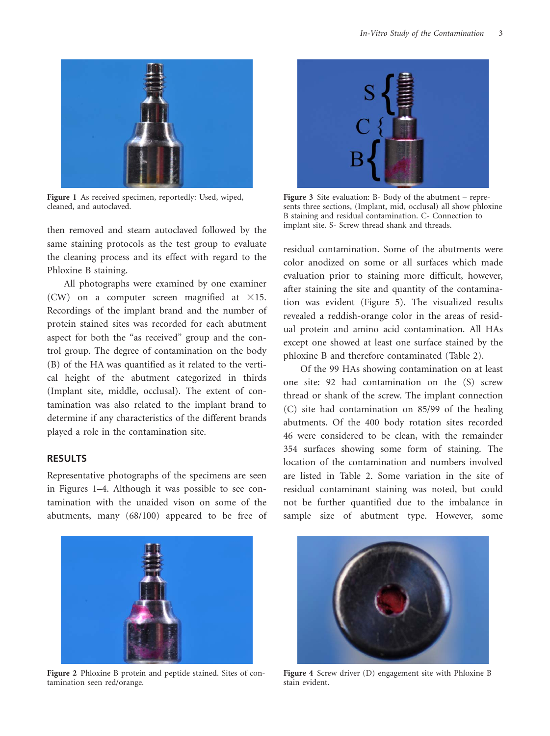

Figure 1 As received specimen, reportedly: Used, wiped, cleaned, and autoclaved.

then removed and steam autoclaved followed by the same staining protocols as the test group to evaluate the cleaning process and its effect with regard to the Phloxine B staining.

All photographs were examined by one examiner (CW) on a computer screen magnified at  $\times 15$ . Recordings of the implant brand and the number of protein stained sites was recorded for each abutment aspect for both the "as received" group and the control group. The degree of contamination on the body (B) of the HA was quantified as it related to the vertical height of the abutment categorized in thirds (Implant site, middle, occlusal). The extent of contamination was also related to the implant brand to determine if any characteristics of the different brands played a role in the contamination site.

## RESULTS

Representative photographs of the specimens are seen in Figures 1–4. Although it was possible to see contamination with the unaided vison on some of the abutments, many (68/100) appeared to be free of



Figure 3 Site evaluation: B- Body of the abutment – represents three sections, (Implant, mid, occlusal) all show phloxine B staining and residual contamination. C- Connection to implant site. S- Screw thread shank and threads.

residual contamination. Some of the abutments were color anodized on some or all surfaces which made evaluation prior to staining more difficult, however, after staining the site and quantity of the contamination was evident (Figure 5). The visualized results revealed a reddish-orange color in the areas of residual protein and amino acid contamination. All HAs except one showed at least one surface stained by the phloxine B and therefore contaminated (Table 2).

Of the 99 HAs showing contamination on at least one site: 92 had contamination on the (S) screw thread or shank of the screw. The implant connection (C) site had contamination on 85/99 of the healing abutments. Of the 400 body rotation sites recorded 46 were considered to be clean, with the remainder 354 surfaces showing some form of staining. The location of the contamination and numbers involved are listed in Table 2. Some variation in the site of residual contaminant staining was noted, but could not be further quantified due to the imbalance in sample size of abutment type. However, some



Figure 2 Phloxine B protein and peptide stained. Sites of contamination seen red/orange.



Figure 4 Screw driver (D) engagement site with Phloxine B stain evident.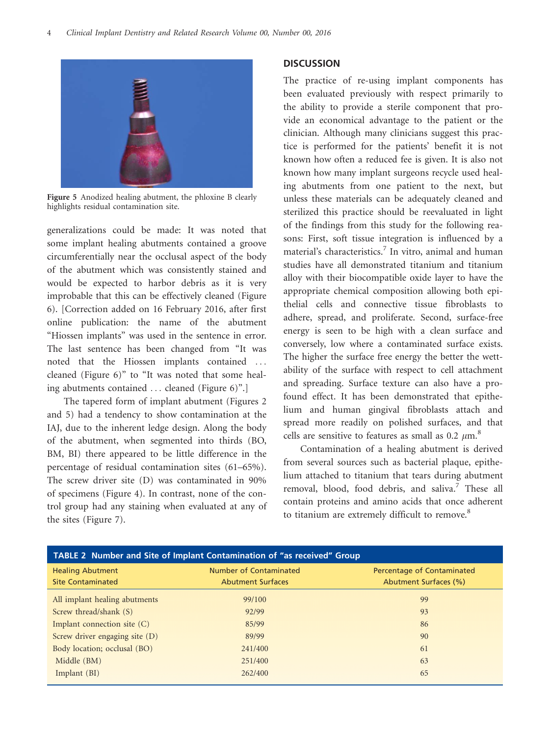

Figure 5 Anodized healing abutment, the phloxine B clearly highlights residual contamination site.

generalizations could be made: It was noted that some implant healing abutments contained a groove circumferentially near the occlusal aspect of the body of the abutment which was consistently stained and would be expected to harbor debris as it is very improbable that this can be effectively cleaned (Figure 6). [Correction added on 16 February 2016, after first online publication: the name of the abutment "Hiossen implants" was used in the sentence in error. The last sentence has been changed from "It was noted that the Hiossen implants contained ... cleaned (Figure 6)" to "It was noted that some healing abutments contained ... cleaned (Figure 6)".]

The tapered form of implant abutment (Figures 2 and 5) had a tendency to show contamination at the IAJ, due to the inherent ledge design. Along the body of the abutment, when segmented into thirds (BO, BM, BI) there appeared to be little difference in the percentage of residual contamination sites (61–65%). The screw driver site (D) was contaminated in 90% of specimens (Figure 4). In contrast, none of the control group had any staining when evaluated at any of the sites (Figure 7).

## **DISCUSSION**

The practice of re-using implant components has been evaluated previously with respect primarily to the ability to provide a sterile component that provide an economical advantage to the patient or the clinician. Although many clinicians suggest this practice is performed for the patients' benefit it is not known how often a reduced fee is given. It is also not known how many implant surgeons recycle used healing abutments from one patient to the next, but unless these materials can be adequately cleaned and sterilized this practice should be reevaluated in light of the findings from this study for the following reasons: First, soft tissue integration is influenced by a material's characteristics.<sup>7</sup> In vitro, animal and human studies have all demonstrated titanium and titanium alloy with their biocompatible oxide layer to have the appropriate chemical composition allowing both epithelial cells and connective tissue fibroblasts to adhere, spread, and proliferate. Second, surface-free energy is seen to be high with a clean surface and conversely, low where a contaminated surface exists. The higher the surface free energy the better the wettability of the surface with respect to cell attachment and spreading. Surface texture can also have a profound effect. It has been demonstrated that epithelium and human gingival fibroblasts attach and spread more readily on polished surfaces, and that cells are sensitive to features as small as 0.2  $\mu$ m.<sup>8</sup>

Contamination of a healing abutment is derived from several sources such as bacterial plaque, epithelium attached to titanium that tears during abutment removal, blood, food debris, and saliva.<sup>7</sup> These all contain proteins and amino acids that once adherent to titanium are extremely difficult to remove.<sup>8</sup>

| TABLE 2 Number and Site of Implant Contamination of "as received" Group |                          |                            |  |
|-------------------------------------------------------------------------|--------------------------|----------------------------|--|
| <b>Healing Abutment</b>                                                 | Number of Contaminated   | Percentage of Contaminated |  |
| <b>Site Contaminated</b>                                                | <b>Abutment Surfaces</b> | Abutment Surfaces (%)      |  |
| All implant healing abutments                                           | 99/100                   | 99                         |  |
| Screw thread/shank (S)                                                  | 92/99                    | 93                         |  |
| Implant connection site $(C)$                                           | 85/99                    | 86                         |  |
| Screw driver engaging site (D)                                          | 89/99                    | 90                         |  |
| Body location; occlusal (BO)                                            | 241/400                  | 61                         |  |
| Middle (BM)                                                             | 251/400                  | 63                         |  |
| Implant $(BI)$                                                          | 262/400                  | 65                         |  |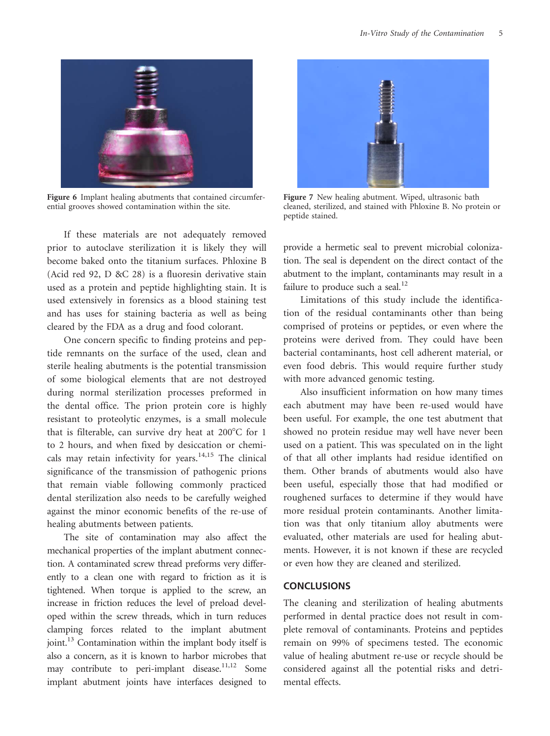

Figure 6 Implant healing abutments that contained circumferential grooves showed contamination within the site.

If these materials are not adequately removed prior to autoclave sterilization it is likely they will become baked onto the titanium surfaces. Phloxine B (Acid red 92, D &C 28) is a fluoresin derivative stain used as a protein and peptide highlighting stain. It is used extensively in forensics as a blood staining test and has uses for staining bacteria as well as being cleared by the FDA as a drug and food colorant.

One concern specific to finding proteins and peptide remnants on the surface of the used, clean and sterile healing abutments is the potential transmission of some biological elements that are not destroyed during normal sterilization processes preformed in the dental office. The prion protein core is highly resistant to proteolytic enzymes, is a small molecule that is filterable, can survive dry heat at  $200^{\circ}$ C for 1 to 2 hours, and when fixed by desiccation or chemicals may retain infectivity for years.<sup>14,15</sup> The clinical significance of the transmission of pathogenic prions that remain viable following commonly practiced dental sterilization also needs to be carefully weighed against the minor economic benefits of the re-use of healing abutments between patients.

The site of contamination may also affect the mechanical properties of the implant abutment connection. A contaminated screw thread preforms very differently to a clean one with regard to friction as it is tightened. When torque is applied to the screw, an increase in friction reduces the level of preload developed within the screw threads, which in turn reduces clamping forces related to the implant abutment joint.13 Contamination within the implant body itself is also a concern, as it is known to harbor microbes that may contribute to peri-implant disease.<sup>11,12</sup> Some implant abutment joints have interfaces designed to



Figure 7 New healing abutment. Wiped, ultrasonic bath cleaned, sterilized, and stained with Phloxine B. No protein or peptide stained.

provide a hermetic seal to prevent microbial colonization. The seal is dependent on the direct contact of the abutment to the implant, contaminants may result in a failure to produce such a seal. $^{12}$ 

Limitations of this study include the identification of the residual contaminants other than being comprised of proteins or peptides, or even where the proteins were derived from. They could have been bacterial contaminants, host cell adherent material, or even food debris. This would require further study with more advanced genomic testing.

Also insufficient information on how many times each abutment may have been re-used would have been useful. For example, the one test abutment that showed no protein residue may well have never been used on a patient. This was speculated on in the light of that all other implants had residue identified on them. Other brands of abutments would also have been useful, especially those that had modified or roughened surfaces to determine if they would have more residual protein contaminants. Another limitation was that only titanium alloy abutments were evaluated, other materials are used for healing abutments. However, it is not known if these are recycled or even how they are cleaned and sterilized.

## **CONCLUSIONS**

The cleaning and sterilization of healing abutments performed in dental practice does not result in complete removal of contaminants. Proteins and peptides remain on 99% of specimens tested. The economic value of healing abutment re-use or recycle should be considered against all the potential risks and detrimental effects.